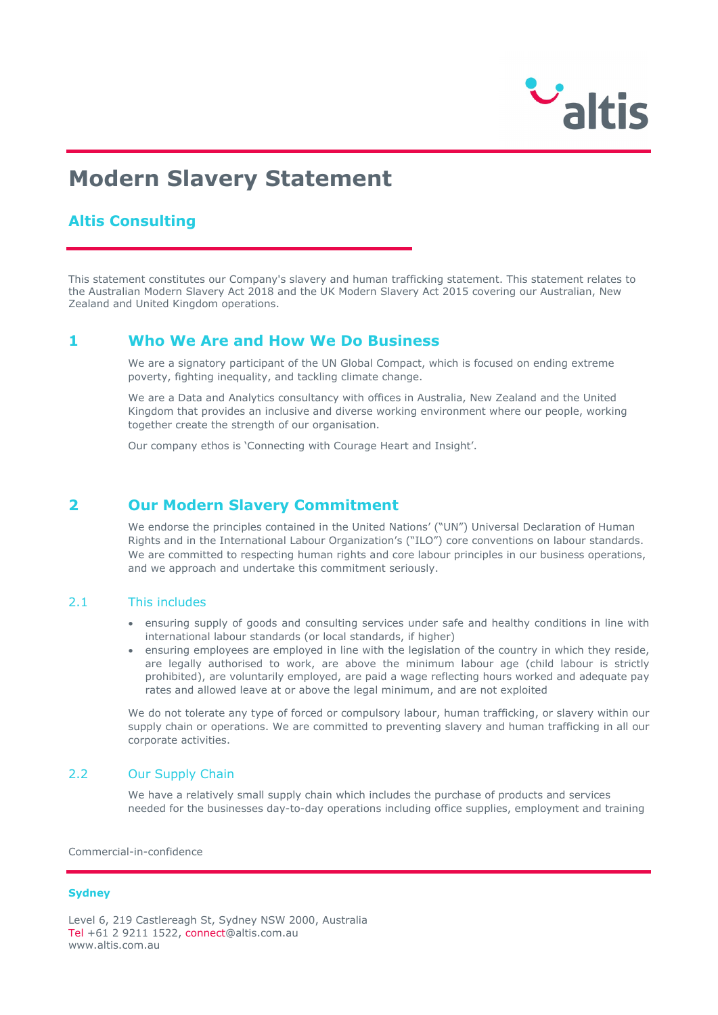

# **Modern Slavery Statement**

## **Altis Consulting**

This statement constitutes our Company's slavery and human trafficking statement. This statement relates to the Australian Modern Slavery Act 2018 and the UK Modern Slavery Act 2015 covering our Australian, New Zealand and United Kingdom operations.

## **1 Who We Are and How We Do Business**

We are a signatory participant of the UN Global Compact, which is focused on ending extreme poverty, fighting inequality, and tackling climate change.

We are a Data and Analytics consultancy with offices in Australia, New Zealand and the United Kingdom that provides an inclusive and diverse working environment where our people, working together create the strength of our organisation.

Our company ethos is 'Connecting with Courage Heart and Insight'.

## **2 Our Modern Slavery Commitment**

We endorse the principles contained in the United Nations' ("UN") Universal Declaration of Human Rights and in the International Labour Organization's ("ILO") core conventions on labour standards. We are committed to respecting human rights and core labour principles in our business operations, and we approach and undertake this commitment seriously.

#### 2.1 This includes

- ensuring supply of goods and consulting services under safe and healthy conditions in line with international labour standards (or local standards, if higher)
- ensuring employees are employed in line with the legislation of the country in which they reside, are legally authorised to work, are above the minimum labour age (child labour is strictly prohibited), are voluntarily employed, are paid a wage reflecting hours worked and adequate pay rates and allowed leave at or above the legal minimum, and are not exploited

We do not tolerate any type of forced or compulsory labour, human trafficking, or slavery within our supply chain or operations. We are committed to preventing slavery and human trafficking in all our corporate activities.

#### 2.2 Our Supply Chain

We have a relatively small supply chain which includes the purchase of products and services needed for the businesses day-to-day operations including office supplies, employment and training

Commercial-in-confidence

#### **Sydney**

Level 6, 219 Castlereagh St, Sydney NSW 2000, Australia Tel +61 2 9211 1522, [connect@altis.com.au](mailto:connect@altis.com.au) [www.altis.com.au](http://www.altis.com.au/)